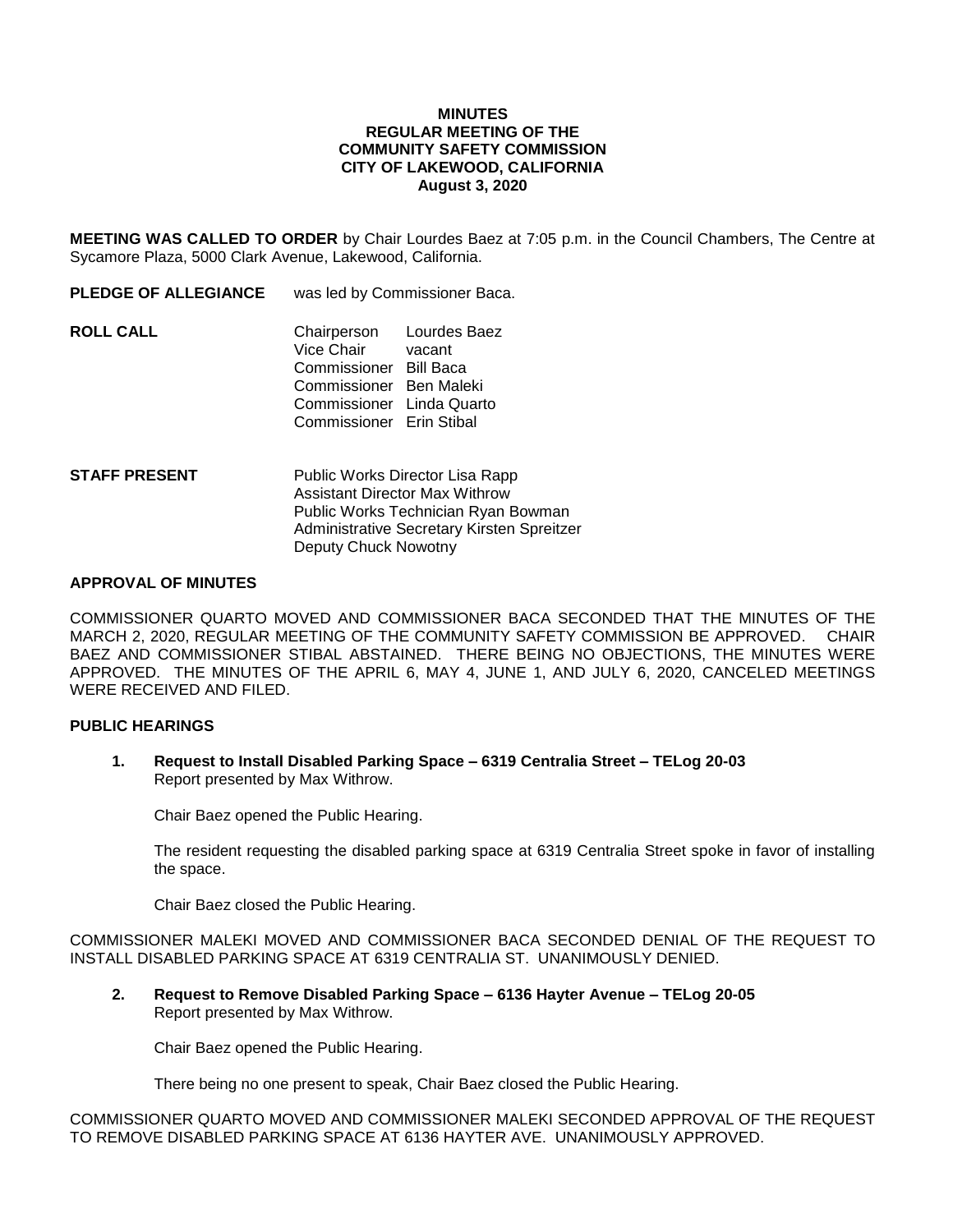## **MINUTES REGULAR MEETING OF THE COMMUNITY SAFETY COMMISSION CITY OF LAKEWOOD, CALIFORNIA August 3, 2020**

**MEETING WAS CALLED TO ORDER** by Chair Lourdes Baez at 7:05 p.m. in the Council Chambers, The Centre at Sycamore Plaza, 5000 Clark Avenue, Lakewood, California.

**PLEDGE OF ALLEGIANCE** was led by Commissioner Baca. **ROLL CALL** Chairperson Lourdes Baez Vice Chair vacant Commissioner Bill Baca Commissioner Ben Maleki Commissioner Linda Quarto Commissioner Erin Stibal

**STAFF PRESENT** Public Works Director Lisa Rapp Assistant Director Max Withrow Public Works Technician Ryan Bowman Administrative Secretary Kirsten Spreitzer Deputy Chuck Nowotny

## **APPROVAL OF MINUTES**

COMMISSIONER QUARTO MOVED AND COMMISSIONER BACA SECONDED THAT THE MINUTES OF THE MARCH 2, 2020, REGULAR MEETING OF THE COMMUNITY SAFETY COMMISSION BE APPROVED. CHAIR BAEZ AND COMMISSIONER STIBAL ABSTAINED. THERE BEING NO OBJECTIONS, THE MINUTES WERE APPROVED. THE MINUTES OF THE APRIL 6, MAY 4, JUNE 1, AND JULY 6, 2020, CANCELED MEETINGS WERE RECEIVED AND FILED.

# **PUBLIC HEARINGS**

**1. Request to Install Disabled Parking Space – 6319 Centralia Street – TELog 20-03** Report presented by Max Withrow.

Chair Baez opened the Public Hearing.

The resident requesting the disabled parking space at 6319 Centralia Street spoke in favor of installing the space.

Chair Baez closed the Public Hearing.

COMMISSIONER MALEKI MOVED AND COMMISSIONER BACA SECONDED DENIAL OF THE REQUEST TO INSTALL DISABLED PARKING SPACE AT 6319 CENTRALIA ST. UNANIMOUSLY DENIED.

**2. Request to Remove Disabled Parking Space – 6136 Hayter Avenue – TELog 20-05** Report presented by Max Withrow.

Chair Baez opened the Public Hearing.

There being no one present to speak, Chair Baez closed the Public Hearing.

COMMISSIONER QUARTO MOVED AND COMMISSIONER MALEKI SECONDED APPROVAL OF THE REQUEST TO REMOVE DISABLED PARKING SPACE AT 6136 HAYTER AVE. UNANIMOUSLY APPROVED.